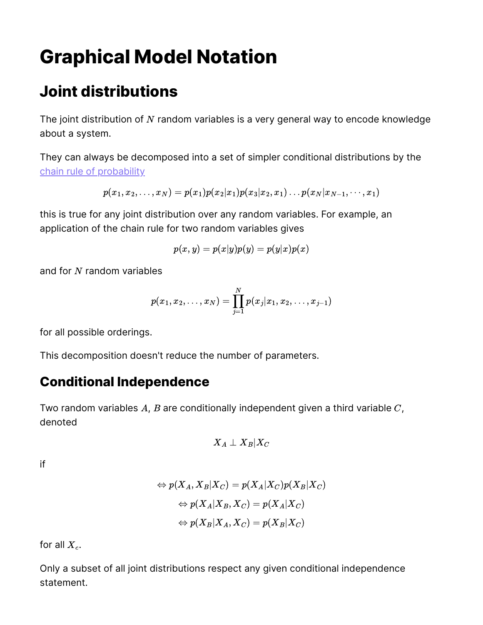## **Graphical Model Notation**

#### **Joint distributions**

The joint distribution of  $N$  random variables is a very general way to encode knowledge about a system.

They can always be decomposed into a set of simpler conditional distributions by the [chain rule of probability](https://en.wikipedia.org/wiki/Chain_rule_%28probability%29)

$$
p(x_1,x_2,\dots,x_N)=p(x_1)p(x_2|x_1)p(x_3|x_2,x_1)\dots p(x_N|x_{N-1},\cdots,x_1)
$$

this is true for any joint distribution over any random variables. For example, an application of the chain rule for two random variables gives

$$
p(x,y)=p(x\vert y)p(y)=p(y\vert x)p(x)
$$

and for  $N$  random variables

$$
p(x_1,x_2,\dots,x_N) = \prod_{j=1}^N p(x_j|x_1,x_2,\dots,x_{j-1})
$$

for all possible orderings.

This decomposition doesn't reduce the number of parameters.

#### **Conditional Independence**

Two random variables  $A$ ,  $B$  are conditionally independent given a third variable  $C$ , denoted

$$
X_A \perp X_B | X_C
$$

if

$$
\begin{aligned} \Leftrightarrow p(X_A,X_B|X_C) & = p(X_A|X_C)p(X_B|X_C) \\ \Leftrightarrow p(X_A|X_B,X_C) & = p(X_A|X_C) \\ \Leftrightarrow p(X_B|X_A,X_C) & = p(X_B|X_C) \end{aligned}
$$

for all  $X_c$ .

Only a subset of all joint distributions respect any given conditional independence statement.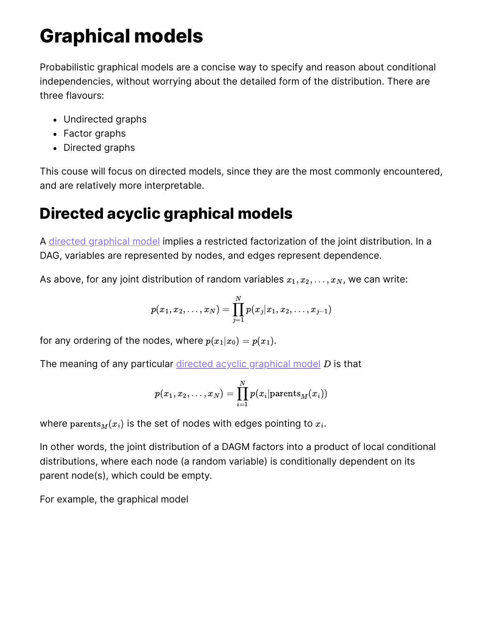## **Graphical models**

Probabilistic graphical models are a concise way to specify and reason about conditional independencies, without worrying about the detailed form of the distribution. There are three flavours:

- Undirected graphs
- Factor graphs
- Directed graphs

This couse will focus on directed models, since they are the most commonly encountered, and are relatively more interpretable.

## **Directed acyclic graphical models**

A directed graphical model implies a restricted factorization of the joint distribution. In a DAG, variables are represented by nodes, and edges represent dependence.

As above, for any joint distribution of random variables  $x_1, x_2, \ldots, x_N$ , we can write:

$$
p(x_1,x_2,\dots,x_N) = \prod_{j=1}^N p(x_j|x_1,x_2,\dots,x_{j-1})
$$

for any ordering of the nodes, where  $p(x_1|x_0) = p(x_1)$ .

The meaning of any particular [directed acyclic graphical model](https://en.wikipedia.org/wiki/Graphical_model#Bayesian_network) D is that

$$
p(x_1,x_2,\ldots,x_N)=\prod_{i=1}^Np(x_i|{\rm parents}_M(x_i))
$$

where  $\operatorname{parents}_M(x_i)$  is the set of nodes with edges pointing to  $x_i.$ 

In other words, the joint distribution of a DAGM factors into a product of local conditional distributions, where each node (a random variable) is conditionally dependent on its parent node(s), which could be empty.

For example, the graphical model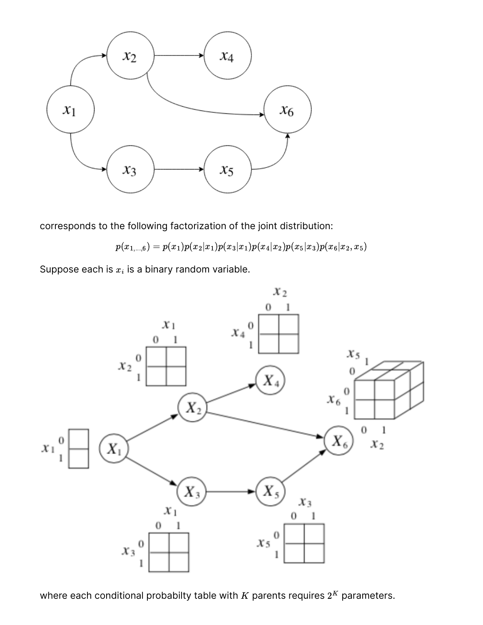

corresponds to the following factorization of the joint distribution:

 $p(x_{1,...,6}) = p(x_1)p(x_2|x_1)p(x_3|x_1)p(x_4|x_2)p(x_5|x_3)p(x_6|x_2,x_5)$ 

Suppose each is  $x_i$  is a binary random variable.



where each conditional probabilty table with  $K$  parents requires  $2^K$  parameters.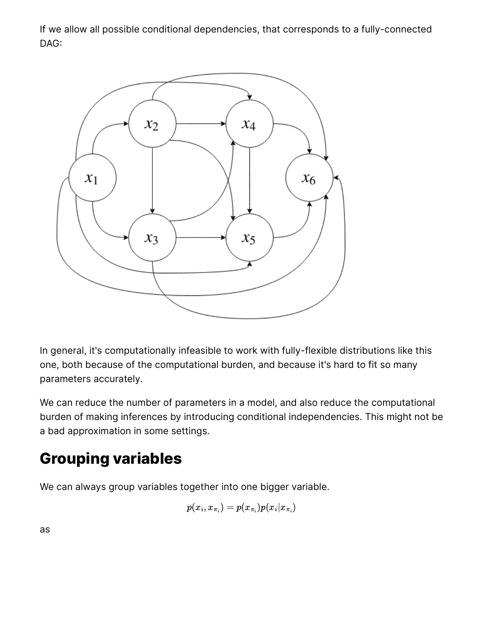If we allow all possible conditional dependencies, that corresponds to a fully-connected DAG:



In general, it's computationally infeasible to work with fully-flexible distributions like this one, both because of the computational burden, and because it's hard to fit so many parameters accurately.

We can reduce the number of parameters in a model, and also reduce the computational burden of making inferences by introducing conditional independencies. This might not be a bad approximation in some settings.

### **Grouping variables**

We can always group variables together into one bigger variable.

$$
p(x_i,x_{\pi_i})=p(x_{\pi_i})p(x_i|x_{\pi_i})
$$

as